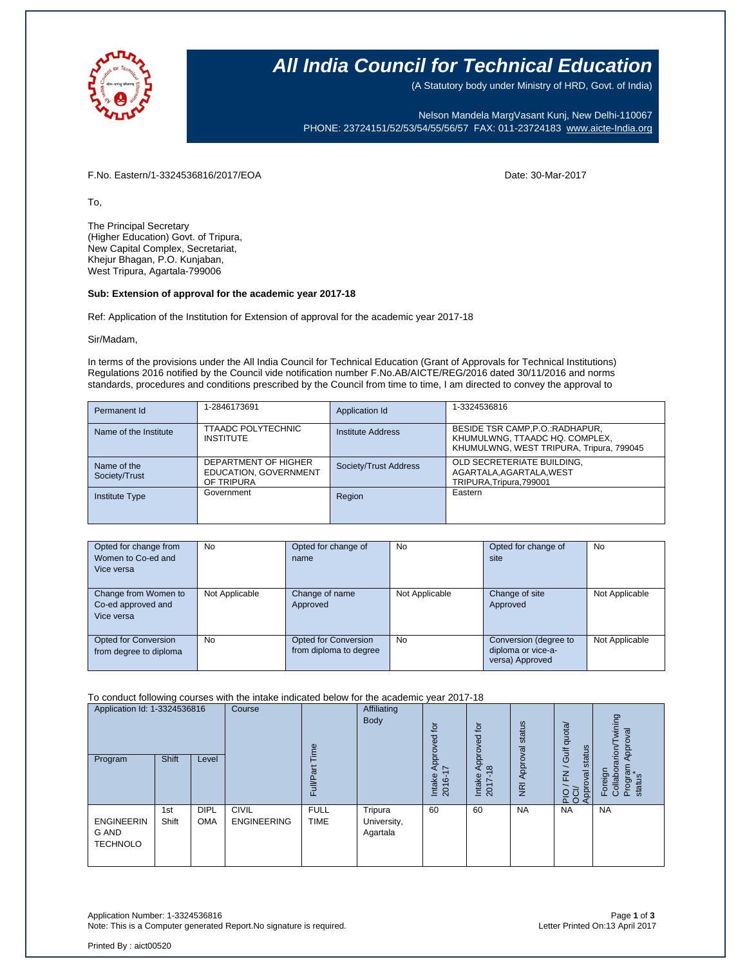

### **All India Council for Technical Education**

(A Statutory body under Ministry of HRD, Govt. of India)

Nelson Mandela MargVasant Kunj, New Delhi-110067 PHONE: 23724151/52/53/54/55/56/57 FAX: 011-23724183 [www.aicte-India.org](http://www.aicte-india.org/)

F.No. Eastern/1-3324536816/2017/EOA Date: 30-Mar-2017

To,

The Principal Secretary (Higher Education) Govt. of Tripura, New Capital Complex, Secretariat, Khejur Bhagan, P.O. Kunjaban, West Tripura, Agartala-799006

### **Sub: Extension of approval for the academic year 2017-18**

Ref: Application of the Institution for Extension of approval for the academic year 2017-18

Sir/Madam,

In terms of the provisions under the All India Council for Technical Education (Grant of Approvals for Technical Institutions) Regulations 2016 notified by the Council vide notification number F.No.AB/AICTE/REG/2016 dated 30/11/2016 and norms standards, procedures and conditions prescribed by the Council from time to time, I am directed to convey the approval to

| Permanent Id                 | 1-2846173691                                                | Application Id        | 1-3324536816                                                                                                   |
|------------------------------|-------------------------------------------------------------|-----------------------|----------------------------------------------------------------------------------------------------------------|
| Name of the Institute        | <b>TTAADC POLYTECHNIC</b><br><b>INSTITUTE</b>               | Institute Address     | BESIDE TSR CAMP, P.O.: RADHAPUR,<br>KHUMULWNG, TTAADC HQ. COMPLEX,<br>KHUMULWNG, WEST TRIPURA, Tripura, 799045 |
| Name of the<br>Society/Trust | DEPARTMENT OF HIGHER<br>EDUCATION, GOVERNMENT<br>OF TRIPURA | Society/Trust Address | OLD SECRETERIATE BUILDING,<br>AGARTALA, AGARTALA, WEST<br>TRIPURA, Tripura, 799001                             |
| <b>Institute Type</b>        | Government                                                  | Region                | Eastern                                                                                                        |

| Opted for change from<br>Women to Co-ed and<br>Vice versa | No             | Opted for change of<br>name                    | No             | Opted for change of<br>site                                    | No             |
|-----------------------------------------------------------|----------------|------------------------------------------------|----------------|----------------------------------------------------------------|----------------|
| Change from Women to<br>Co-ed approved and<br>Vice versa  | Not Applicable | Change of name<br>Approved                     | Not Applicable | Change of site<br>Approved                                     | Not Applicable |
| Opted for Conversion<br>from degree to diploma            | No             | Opted for Conversion<br>from diploma to degree | No             | Conversion (degree to<br>diploma or vice-a-<br>versa) Approved | Not Applicable |

To conduct following courses with the intake indicated below for the academic year 2017-18

| Application Id: 1-3324536816<br>Program       | <b>Shift</b> | Level                     | Course                             | ime<br>Full/P              | Affiliating<br>Body                | ίō<br>공<br>Appro <sup>.</sup><br>7<br>Intake<br>2016- | $\overline{5}$<br>Approved<br>$\infty$<br>Intake<br>2017- | status<br>Approval<br>$\overline{g}$ | Gulf quota/<br>status<br>$\geq$<br>Approval<br>운항 | wining<br>Approval<br>Foreign<br>Collaborarion/T<br>Program<br>status |
|-----------------------------------------------|--------------|---------------------------|------------------------------------|----------------------------|------------------------------------|-------------------------------------------------------|-----------------------------------------------------------|--------------------------------------|---------------------------------------------------|-----------------------------------------------------------------------|
| <b>ENGINEERIN</b><br>G AND<br><b>TECHNOLO</b> | 1st<br>Shift | <b>DIPL</b><br><b>OMA</b> | <b>CIVIL</b><br><b>ENGINEERING</b> | <b>FULL</b><br><b>TIME</b> | Tripura<br>University,<br>Agartala | 60                                                    | 60                                                        | <b>NA</b>                            | <b>NA</b>                                         | <b>NA</b>                                                             |

Application Number: 1-3324536816 Page **1** of **3** Note: This is a Computer generated Report.No signature is required.

Printed By : aict00520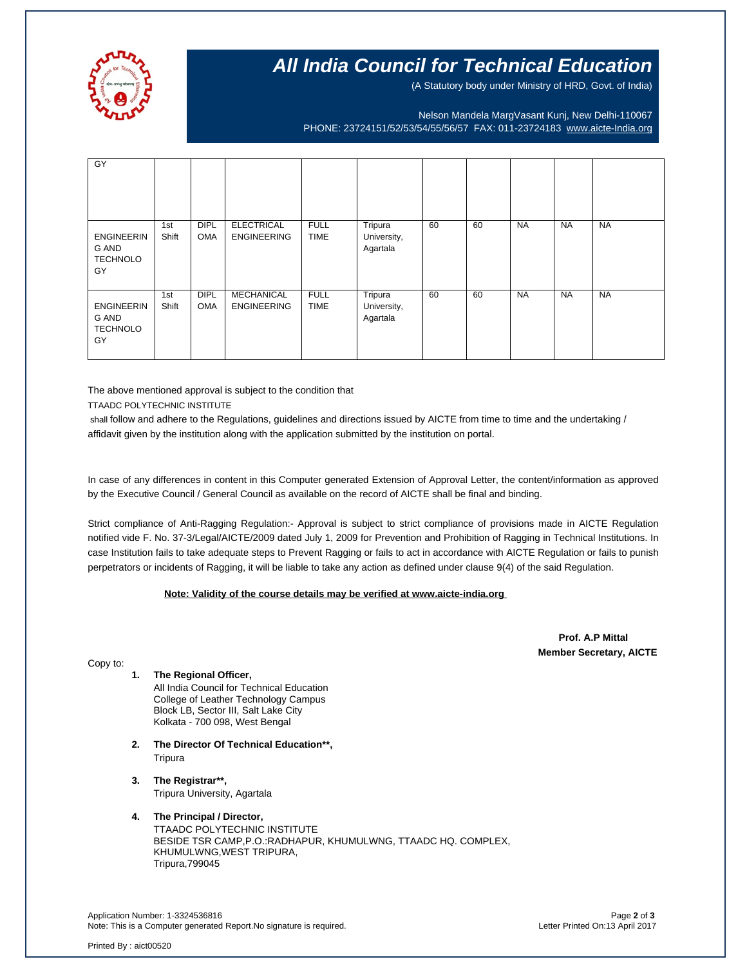

## **All India Council for Technical Education**

(A Statutory body under Ministry of HRD, Govt. of India)

Nelson Mandela MargVasant Kunj, New Delhi-110067 PHONE: 23724151/52/53/54/55/56/57 FAX: 011-23724183 [www.aicte-India.org](http://www.aicte-india.org/)

| GY                                                  |              |                           |                                         |                            |                                    |    |    |           |           |           |
|-----------------------------------------------------|--------------|---------------------------|-----------------------------------------|----------------------------|------------------------------------|----|----|-----------|-----------|-----------|
| <b>ENGINEERIN</b><br>G AND<br><b>TECHNOLO</b><br>GY | 1st<br>Shift | <b>DIPL</b><br><b>OMA</b> | <b>ELECTRICAL</b><br><b>ENGINEERING</b> | <b>FULL</b><br><b>TIME</b> | Tripura<br>University,<br>Agartala | 60 | 60 | <b>NA</b> | <b>NA</b> | <b>NA</b> |
| <b>ENGINEERIN</b><br>G AND<br><b>TECHNOLO</b><br>GY | 1st<br>Shift | <b>DIPL</b><br><b>OMA</b> | <b>MECHANICAL</b><br><b>ENGINEERING</b> | <b>FULL</b><br><b>TIME</b> | Tripura<br>University,<br>Agartala | 60 | 60 | <b>NA</b> | <b>NA</b> | <b>NA</b> |

The above mentioned approval is subject to the condition that

TTAADC POLYTECHNIC INSTITUTE

shall follow and adhere to the Regulations, guidelines and directions issued by AICTE from time to time and the undertaking / affidavit given by the institution along with the application submitted by the institution on portal.

In case of any differences in content in this Computer generated Extension of Approval Letter, the content/information as approved by the Executive Council / General Council as available on the record of AICTE shall be final and binding.

Strict compliance of Anti-Ragging Regulation:- Approval is subject to strict compliance of provisions made in AICTE Regulation notified vide F. No. 37-3/Legal/AICTE/2009 dated July 1, 2009 for Prevention and Prohibition of Ragging in Technical Institutions. In case Institution fails to take adequate steps to Prevent Ragging or fails to act in accordance with AICTE Regulation or fails to punish perpetrators or incidents of Ragging, it will be liable to take any action as defined under clause 9(4) of the said Regulation.

#### **Note: Validity of the course details may be verified at www.aicte-india.org**

 **Prof. A.P Mittal Member Secretary, AICTE**

Copy to:

- **1. The Regional Officer,** All India Council for Technical Education College of Leather Technology Campus Block LB, Sector III, Salt Lake City Kolkata - 700 098, West Bengal
- **2. The Director Of Technical Education\*\*, Tripura**
- **3. The Registrar\*\*,** Tripura University, Agartala

#### **4. The Principal / Director,**

TTAADC POLYTECHNIC INSTITUTE BESIDE TSR CAMP,P.O.:RADHAPUR, KHUMULWNG, TTAADC HQ. COMPLEX, KHUMULWNG,WEST TRIPURA, Tripura,799045

Application Number: 1-3324536816 Page **2** of **3** Note: This is a Computer generated Report.No signature is required.